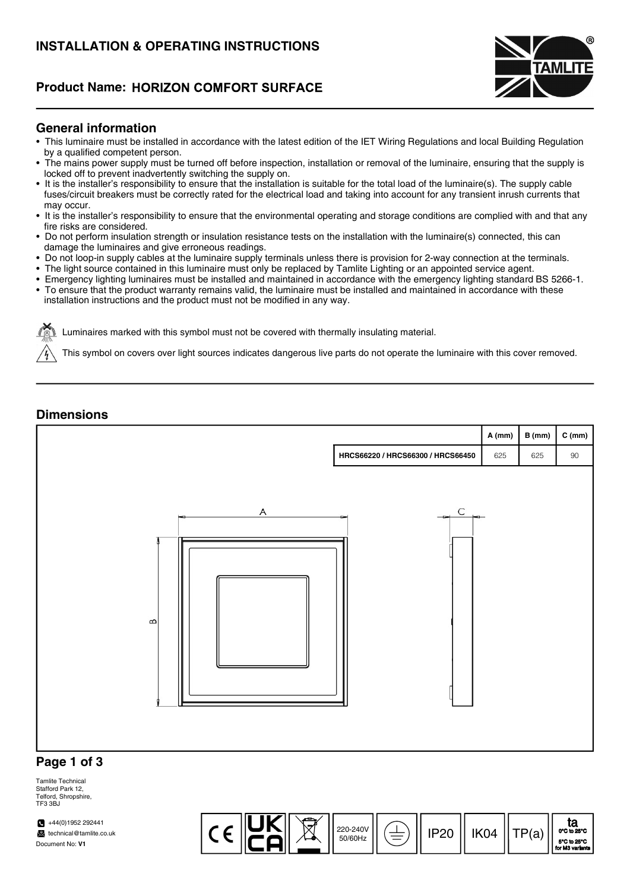# INSTALLATION & OPERATING INSTRUCTIONS

## **Product Name: HORIZON COMFORT SURFACE**



#### General information

- This luminaire must be installed in accordance with the latest edition of the IET Wiring Regulations and local Building Regulation by a qualified competent person.
- The mains power supply must be turned off before inspection, installation or removal of the luminaire, ensuring that the supply is locked off to prevent inadvertently switching the supply on.
- It is the installer's responsibility to ensure that the installation is suitable for the total load of the luminaire(s). The supply cable fuses/circuit breakers must be correctly rated for the electrical load and taking into account for any transient inrush currents that may occur.
- It is the installer's responsibility to ensure that the environmental operating and storage conditions are complied with and that any fire risks are considered.
- Do not perform insulation strength or insulation resistance tests on the installation with the luminaire(s) connected, this can damage the luminaires and give erroneous readings.
- Do not loop-in supply cables at the luminaire supply terminals unless there is provision for 2-way connection at the terminals.
- The light source contained in this luminaire must only be replaced by Tamlite Lighting or an appointed service agent.
- Emergency lighting luminaires must be installed and maintained in accordance with the emergency lighting standard BS 5266-1.
- To ensure that the product warranty remains valid, the luminaire must be installed and maintained in accordance with these installation instructions and the product must not be modified in any way.

Luminaires marked with this symbol must not be covered with thermally insulating material.

This symbol on covers over light sources indicates dangerous live parts do not operate the luminaire with this cover removed.

#### **Dimensions**



Tamlite Technical Stafford Park 12, Telford, Shropshire, TF3 3BJ

 $+44(0)1952292441$ technical@tamlite.co.uk Document No: V1

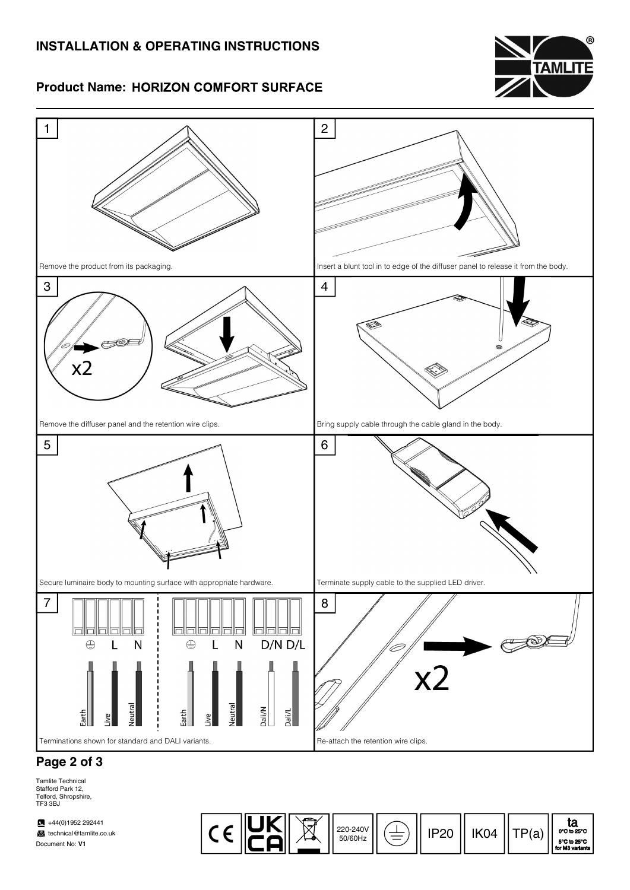# INSTALLATION & OPERATING INSTRUCTIONS



### **Product Name: HORIZON COMFORT SURFACE**



# Page 2 of 3

Tamlite Technical Stafford Park 12, Telford, Shropshire, TF3 3BJ

 $\blacksquare$  +44(0)1952 292441 technical@tamlite.co.uk Document No: V1